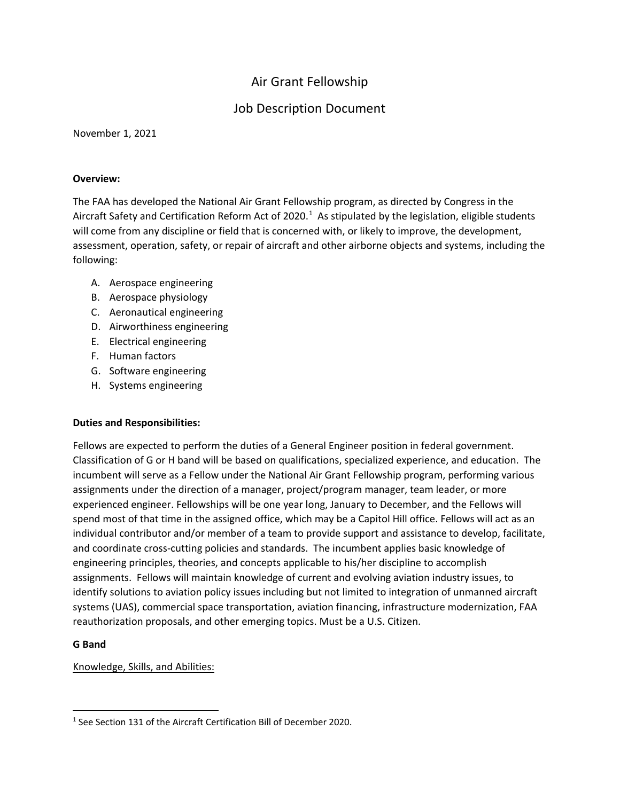# Air Grant Fellowship

## Job Description Document

November 1, 2021

#### **Overview:**

The FAA has developed the National Air Grant Fellowship program, as directed by Congress in the Aircraft Safety and Certification Reform Act of 2020.<sup>[1](#page-0-0)</sup> As stipulated by the legislation, eligible students will come from any discipline or field that is concerned with, or likely to improve, the development, assessment, operation, safety, or repair of aircraft and other airborne objects and systems, including the following:

- A. Aerospace engineering
- B. Aerospace physiology
- C. Aeronautical engineering
- D. Airworthiness engineering
- E. Electrical engineering
- F. Human factors
- G. Software engineering
- H. Systems engineering

## **Duties and Responsibilities:**

Fellows are expected to perform the duties of a General Engineer position in federal government. Classification of G or H band will be based on qualifications, specialized experience, and education. The incumbent will serve as a Fellow under the National Air Grant Fellowship program, performing various assignments under the direction of a manager, project/program manager, team leader, or more experienced engineer. Fellowships will be one year long, January to December, and the Fellows will spend most of that time in the assigned office, which may be a Capitol Hill office. Fellows will act as an individual contributor and/or member of a team to provide support and assistance to develop, facilitate, and coordinate cross-cutting policies and standards. The incumbent applies basic knowledge of engineering principles, theories, and concepts applicable to his/her discipline to accomplish assignments. Fellows will maintain knowledge of current and evolving aviation industry issues, to identify solutions to aviation policy issues including but not limited to integration of unmanned aircraft systems (UAS), commercial space transportation, aviation financing, infrastructure modernization, FAA reauthorization proposals, and other emerging topics. Must be a U.S. Citizen.

## **G Band**

Knowledge, Skills, and Abilities:

<span id="page-0-0"></span><sup>&</sup>lt;sup>1</sup> See Section 131 of the Aircraft Certification Bill of December 2020.